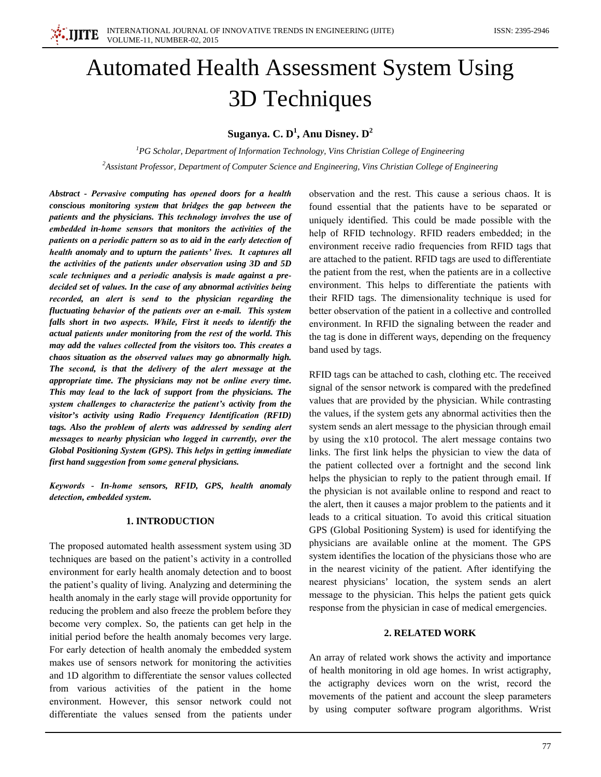

# **Automated Health Assessment System Using 3D** Techniques

Suganya. C.  $D^1$ , Anu Disney.  $D^2$ 

 ${}^{1}$ PG Scholar, Department of Information Technology, Vins Christian College of Engineering  ${}^{2}$ Assistant Professor, Department of Computer Science and Engineering, Vins Christian College of Engineering

Abstract - Pervasive computing has opened doors for a health conscious monitoring system that bridges the gap between the patients and the physicians. This technology involves the use of embedded in-home sensors that monitors the activities of the patients on a periodic pattern so as to aid in the early detection of health anomaly and to upturn the patients' lives. It captures all the activities of the patients under observation using 3D and 5D scale techniques and a periodic analysis is made against a predecided set of values. In the case of any abnormal activities being recorded, an alert is send to the physician regarding the fluctuating behavior of the patients over an e-mail. This system falls short in two aspects. While, First it needs to identify the actual patients under monitoring from the rest of the world. This may add the values collected from the visitors too. This creates a chaos situation as the observed values may go abnormally high. The second, is that the delivery of the alert message at the appropriate time. The physicians may not be online every time. This may lead to the lack of support from the physicians. The system challenges to characterize the patient's activity from the visitor's activity using Radio Frequency Identification (RFID) tags. Also the problem of alerts was addressed by sending alert messages to nearby physician who logged in currently, over the Global Positioning System (GPS). This helps in getting immediate first hand suggestion from some general physicians.

Keywords - In-home sensors, RFID, GPS, health anomaly detection, embedded system.

## **1. INTRODUCTION**

The proposed automated health assessment system using 3D techniques are based on the patient's activity in a controlled environment for early health anomaly detection and to boost the patient's quality of living. Analyzing and determining the health anomaly in the early stage will provide opportunity for reducing the problem and also freeze the problem before they become very complex. So, the patients can get help in the initial period before the health anomaly becomes very large. For early detection of health anomaly the embedded system makes use of sensors network for monitoring the activities and 1D algorithm to differentiate the sensor values collected from various activities of the patient in the home environment. However, this sensor network could not differentiate the values sensed from the patients under

observation and the rest. This cause a serious chaos. It is found essential that the patients have to be separated or uniquely identified. This could be made possible with the help of RFID technology. RFID readers embedded; in the environment receive radio frequencies from RFID tags that are attached to the patient. RFID tags are used to differentiate the patient from the rest, when the patients are in a collective environment. This helps to differentiate the patients with their RFID tags. The dimensionality technique is used for better observation of the patient in a collective and controlled environment. In RFID the signaling between the reader and the tag is done in different ways, depending on the frequency band used by tags.

RFID tags can be attached to cash, clothing etc. The received signal of the sensor network is compared with the predefined values that are provided by the physician. While contrasting the values, if the system gets any abnormal activities then the system sends an alert message to the physician through email by using the x10 protocol. The alert message contains two links. The first link helps the physician to view the data of the patient collected over a fortnight and the second link helps the physician to reply to the patient through email. If the physician is not available online to respond and react to the alert, then it causes a major problem to the patients and it leads to a critical situation. To avoid this critical situation GPS (Global Positioning System) is used for identifying the physicians are available online at the moment. The GPS system identifies the location of the physicians those who are in the nearest vicinity of the patient. After identifying the nearest physicians' location, the system sends an alert message to the physician. This helps the patient gets quick response from the physician in case of medical emergencies.

#### 2. RELATED WORK

An array of related work shows the activity and importance of health monitoring in old age homes. In wrist actigraphy, the actigraphy devices worn on the wrist, record the movements of the patient and account the sleep parameters by using computer software program algorithms. Wrist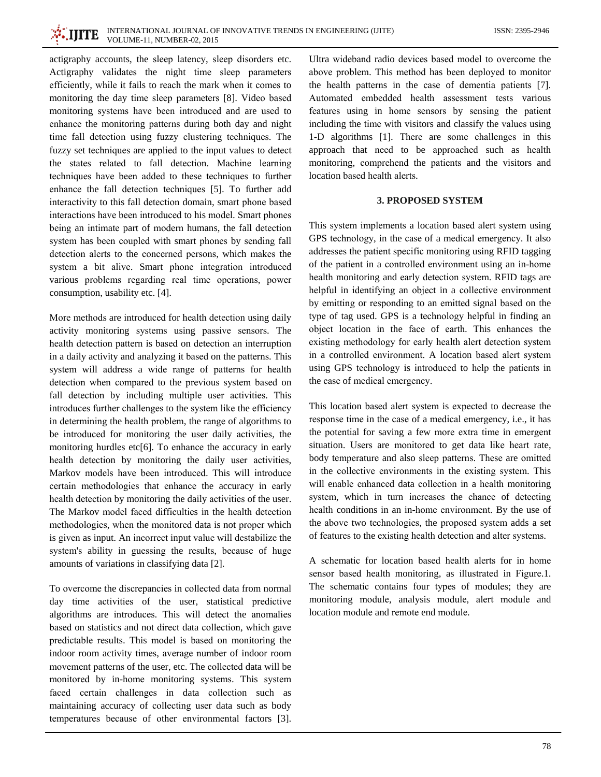INTERNATIONAL JOURNAL OF INNOVATIVE TRENDS IN ENGINEERING (IJITE) **VOLUME-11, NUMBER-02, 2015** 

actigraphy accounts, the sleep latency, sleep disorders etc. Actigraphy validates the night time sleep parameters efficiently, while it fails to reach the mark when it comes to monitoring the day time sleep parameters [8]. Video based monitoring systems have been introduced and are used to enhance the monitoring patterns during both day and night time fall detection using fuzzy clustering techniques. The fuzzy set techniques are applied to the input values to detect the states related to fall detection. Machine learning techniques have been added to these techniques to further enhance the fall detection techniques [5]. To further add interactivity to this fall detection domain, smart phone based interactions have been introduced to his model. Smart phones being an intimate part of modern humans, the fall detection system has been coupled with smart phones by sending fall detection alerts to the concerned persons, which makes the system a bit alive. Smart phone integration introduced various problems regarding real time operations, power consumption, usability etc. [4].

More methods are introduced for health detection using daily activity monitoring systems using passive sensors. The health detection pattern is based on detection an interruption in a daily activity and analyzing it based on the patterns. This system will address a wide range of patterns for health detection when compared to the previous system based on fall detection by including multiple user activities. This introduces further challenges to the system like the efficiency in determining the health problem, the range of algorithms to be introduced for monitoring the user daily activities, the monitoring hurdles etc $[6]$ . To enhance the accuracy in early health detection by monitoring the daily user activities, Markov models have been introduced. This will introduce certain methodologies that enhance the accuracy in early health detection by monitoring the daily activities of the user. The Markov model faced difficulties in the health detection methodologies, when the monitored data is not proper which is given as input. An incorrect input value will destabilize the system's ability in guessing the results, because of huge amounts of variations in classifying data [2].

To overcome the discrepancies in collected data from normal day time activities of the user, statistical predictive algorithms are introduces. This will detect the anomalies based on statistics and not direct data collection, which gave predictable results. This model is based on monitoring the indoor room activity times, average number of indoor room movement patterns of the user, etc. The collected data will be monitored by in-home monitoring systems. This system faced certain challenges in data collection such as maintaining accuracy of collecting user data such as body temperatures because of other environmental factors [3].

Ultra wideband radio devices based model to overcome the above problem. This method has been deployed to monitor the health patterns in the case of dementia patients [7]. Automated embedded health assessment tests various features using in home sensors by sensing the patient including the time with visitors and classify the values using 1-D algorithms [1]. There are some challenges in this approach that need to be approached such as health monitoring, comprehend the patients and the visitors and location based health alerts.

## **3. PROPOSED SYSTEM**

This system implements a location based alert system using GPS technology, in the case of a medical emergency. It also addresses the patient specific monitoring using RFID tagging of the patient in a controlled environment using an in-home health monitoring and early detection system. RFID tags are helpful in identifying an object in a collective environment by emitting or responding to an emitted signal based on the type of tag used. GPS is a technology helpful in finding an object location in the face of earth. This enhances the existing methodology for early health alert detection system in a controlled environment. A location based alert system using GPS technology is introduced to help the patients in the case of medical emergency.

This location based alert system is expected to decrease the response time in the case of a medical emergency, *i.e.*, *it has* the potential for saving a few more extra time in emergent situation. Users are monitored to get data like heart rate, body temperature and also sleep patterns. These are omitted in the collective environments in the existing system. This will enable enhanced data collection in a health monitoring system, which in turn increases the chance of detecting health conditions in an in-home environment. By the use of the above two technologies, the proposed system adds a set of features to the existing health detection and alter systems.

A schematic for location based health alerts for in home sensor based health monitoring, as illustrated in Figure.1. The schematic contains four types of modules; they are monitoring module, analysis module, alert module and location module and remote end module.